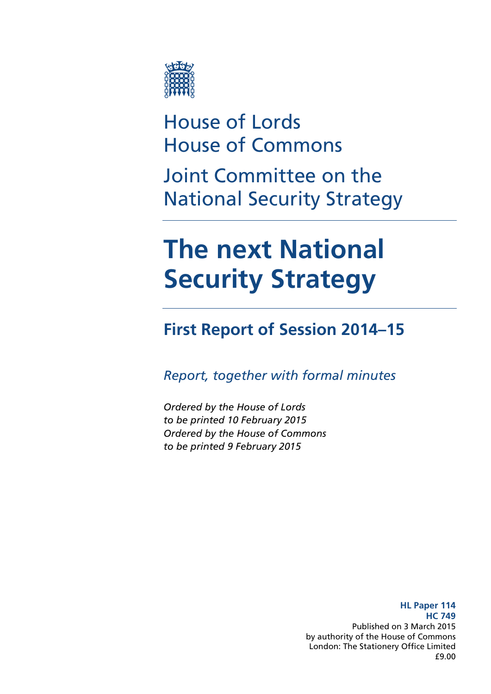

# House of Lords House of Commons

Joint Committee on the National Security Strategy

# **The next National Security Strategy**

### **First Report of Session 2014–15**

*Report, together with formal minutes* 

*Ordered by the House of Lords to be printed 10 February 2015 Ordered by the House of Commons to be printed 9 February 2015*

> **HL Paper 114 HC 749**  Published on 3 March 2015 by authority of the House of Commons London: The Stationery Office Limited £9.00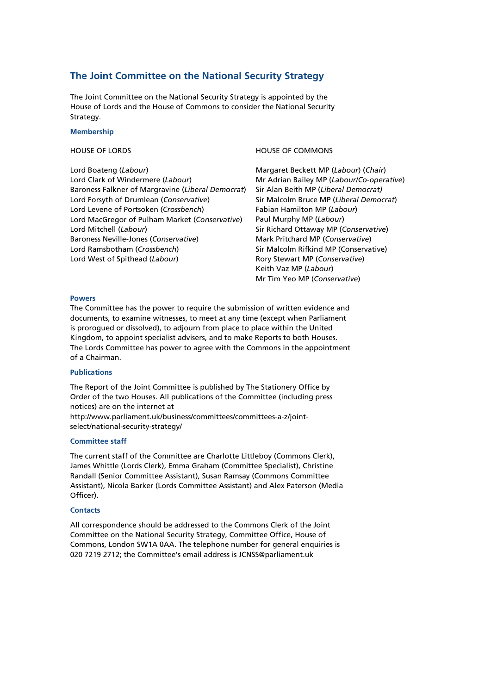#### **The Joint Committee on the National Security Strategy**

The Joint Committee on the National Security Strategy is appointed by the House of Lords and the House of Commons to consider the National Security Strategy.

#### **Membership**

Lord Boateng (*Labour*) Lord Clark of Windermere (*Labour*) Baroness Falkner of Margravine (*Liberal Democrat*) Lord Forsyth of Drumlean (*Conservative*) Lord Levene of Portsoken (*Crossbench*) Lord MacGregor of Pulham Market (*Conservative*) Lord Mitchell (*Labour*) Baroness Neville-Jones (*Conservative*) Lord Ramsbotham (*Crossbench*) Lord West of Spithead (*Labour*)

#### HOUSE OF LORDS HOUSE OF COMMONS

Margaret Beckett MP (*Labour*) (*Chair*) Mr Adrian Bailey MP (*Labour/Co-operative*) Sir Alan Beith MP (*Liberal Democrat)* Sir Malcolm Bruce MP (*Liberal Democrat*) Fabian Hamilton MP (*Labour*) Paul Murphy MP (*Labour*) Sir Richard Ottaway MP (*Conservative*) Mark Pritchard MP (*Conservative*) Sir Malcolm Rifkind MP (Conservative) Rory Stewart MP (*Conservative*) Keith Vaz MP (*Labour*) Mr Tim Yeo MP (*Conservative*)

#### **Powers**

The Committee has the power to require the submission of written evidence and documents, to examine witnesses, to meet at any time (except when Parliament is prorogued or dissolved), to adjourn from place to place within the United Kingdom, to appoint specialist advisers, and to make Reports to both Houses. The Lords Committee has power to agree with the Commons in the appointment of a Chairman.

#### **Publications**

The Report of the Joint Committee is published by The Stationery Office by Order of the two Houses. All publications of the Committee (including press notices) are on the internet at http://www.parliament.uk/business/committees/committees-a-z/jointselect/national-security-strategy/

#### **Committee staff**

The current staff of the Committee are Charlotte Littleboy (Commons Clerk), James Whittle (Lords Clerk), Emma Graham (Committee Specialist), Christine Randall (Senior Committee Assistant), Susan Ramsay (Commons Committee Assistant), Nicola Barker (Lords Committee Assistant) and Alex Paterson (Media Officer).

#### **Contacts**

All correspondence should be addressed to the Commons Clerk of the Joint Committee on the National Security Strategy, Committee Office, House of Commons, London SW1A 0AA. The telephone number for general enquiries is 020 7219 2712; the Committee's email address is JCNSS@parliament.uk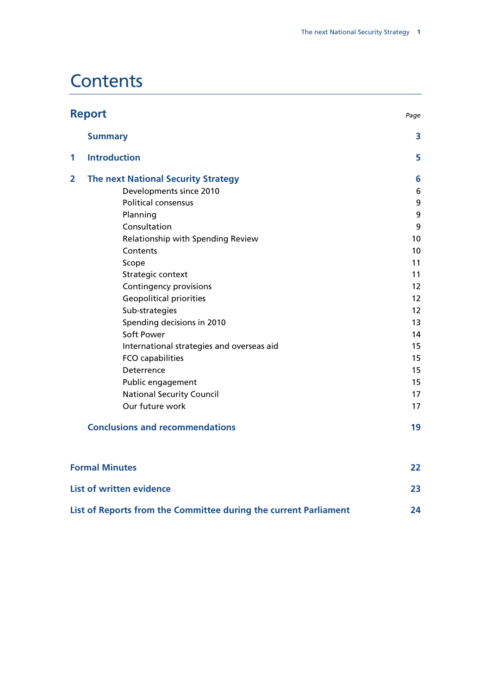# **Contents**

| <b>Report</b><br>Page                  |                                            |                   |
|----------------------------------------|--------------------------------------------|-------------------|
|                                        | <b>Summary</b>                             | 3                 |
| 1                                      | <b>Introduction</b>                        | 5                 |
| $\overline{2}$                         | <b>The next National Security Strategy</b> | 6                 |
|                                        | Developments since 2010                    | 6                 |
|                                        | <b>Political consensus</b>                 | 9                 |
|                                        | Planning                                   | 9                 |
|                                        | Consultation                               | 9                 |
|                                        | Relationship with Spending Review          | 10                |
|                                        | Contents                                   | 10                |
|                                        | Scope                                      | 11                |
|                                        | Strategic context                          | 11                |
|                                        | Contingency provisions                     | 12                |
|                                        | <b>Geopolitical priorities</b>             | 12                |
|                                        | Sub-strategies                             | $12 \overline{ }$ |
|                                        | Spending decisions in 2010                 | 13                |
|                                        | Soft Power                                 | 14                |
|                                        | International strategies and overseas aid  | 15                |
|                                        | FCO capabilities                           | 15                |
|                                        | Deterrence                                 | 15                |
|                                        | Public engagement                          | 15                |
|                                        | <b>National Security Council</b>           | 17                |
|                                        | Our future work                            | 17                |
| <b>Conclusions and recommendations</b> |                                            | 19                |
|                                        | <b>Formal Minutes</b>                      | 22                |
|                                        | <b>List of written evidence</b>            | 23                |

| List of Reports from the Committee during the current Parliament |  |
|------------------------------------------------------------------|--|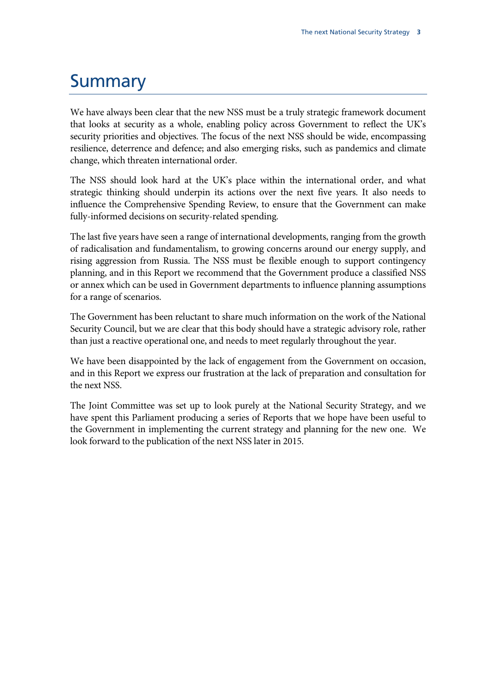### **Summary**

We have always been clear that the new NSS must be a truly strategic framework document that looks at security as a whole, enabling policy across Government to reflect the UK's security priorities and objectives. The focus of the next NSS should be wide, encompassing resilience, deterrence and defence; and also emerging risks, such as pandemics and climate change, which threaten international order.

The NSS should look hard at the UK's place within the international order, and what strategic thinking should underpin its actions over the next five years. It also needs to influence the Comprehensive Spending Review, to ensure that the Government can make fully-informed decisions on security-related spending.

The last five years have seen a range of international developments, ranging from the growth of radicalisation and fundamentalism, to growing concerns around our energy supply, and rising aggression from Russia. The NSS must be flexible enough to support contingency planning, and in this Report we recommend that the Government produce a classified NSS or annex which can be used in Government departments to influence planning assumptions for a range of scenarios.

The Government has been reluctant to share much information on the work of the National Security Council, but we are clear that this body should have a strategic advisory role, rather than just a reactive operational one, and needs to meet regularly throughout the year.

We have been disappointed by the lack of engagement from the Government on occasion, and in this Report we express our frustration at the lack of preparation and consultation for the next NSS.

The Joint Committee was set up to look purely at the National Security Strategy, and we have spent this Parliament producing a series of Reports that we hope have been useful to the Government in implementing the current strategy and planning for the new one. We look forward to the publication of the next NSS later in 2015.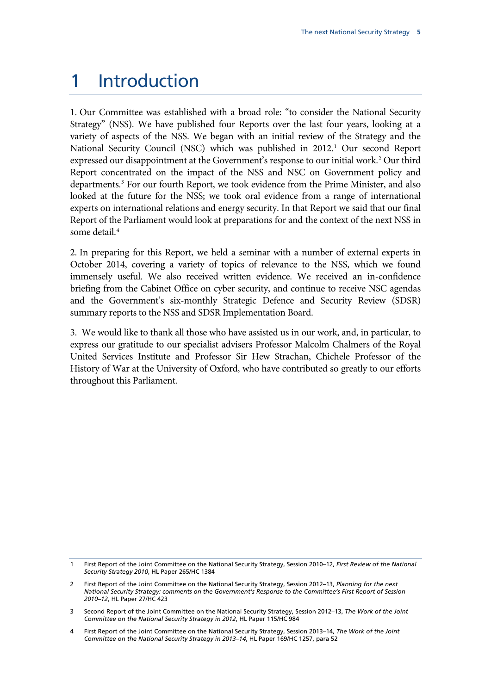### 1 Introduction

1. Our Committee was established with a broad role: "to consider the National Security Strategy" (NSS). We have published four Reports over the last four years, looking at a variety of aspects of the NSS. We began with an initial review of the Strategy and the National Security Council (NSC) which was published in 20[1](#page-5-0)2.<sup>1</sup> Our second Report expressed our disappointment at the Government's response to our initial work.<sup>[2](#page-5-1)</sup> Our third Report concentrated on the impact of the NSS and NSC on Government policy and departments.<sup>[3](#page-5-2)</sup> For our fourth Report, we took evidence from the Prime Minister, and also looked at the future for the NSS; we took oral evidence from a range of international experts on international relations and energy security. In that Report we said that our final Report of the Parliament would look at preparations for and the context of the next NSS in some detail.[4](#page-5-3)

2. In preparing for this Report, we held a seminar with a number of external experts in October 2014, covering a variety of topics of relevance to the NSS, which we found immensely useful. We also received written evidence. We received an in-confidence briefing from the Cabinet Office on cyber security, and continue to receive NSC agendas and the Government's six-monthly Strategic Defence and Security Review (SDSR) summary reports to the NSS and SDSR Implementation Board.

3. We would like to thank all those who have assisted us in our work, and, in particular, to express our gratitude to our specialist advisers Professor Malcolm Chalmers of the Royal United Services Institute and Professor Sir Hew Strachan, Chichele Professor of the History of War at the University of Oxford, who have contributed so greatly to our efforts throughout this Parliament.

<span id="page-5-0"></span><sup>1</sup> First Report of the Joint Committee on the National Security Strategy, Session 2010–12, *First Review of the National Security Strategy 2010*, HL Paper 265/HC 1384

<span id="page-5-1"></span><sup>2</sup> First Report of the Joint Committee on the National Security Strategy, Session 2012–13, *Planning for the next National Security Strategy: comments on the Government's Response to the Committee's First Report of Session 2010–12*, HL Paper 27/HC 423

<span id="page-5-2"></span><sup>3</sup> Second Report of the Joint Committee on the National Security Strategy, Session 2012–13, *The Work of the Joint Committee on the National Security Strategy in 2012*, HL Paper 115/HC 984

<span id="page-5-3"></span><sup>4</sup> First Report of the Joint Committee on the National Security Strategy, Session 2013–14, *The Work of the Joint Committee on the National Security Strategy in 2013–14*, HL Paper 169/HC 1257, para 52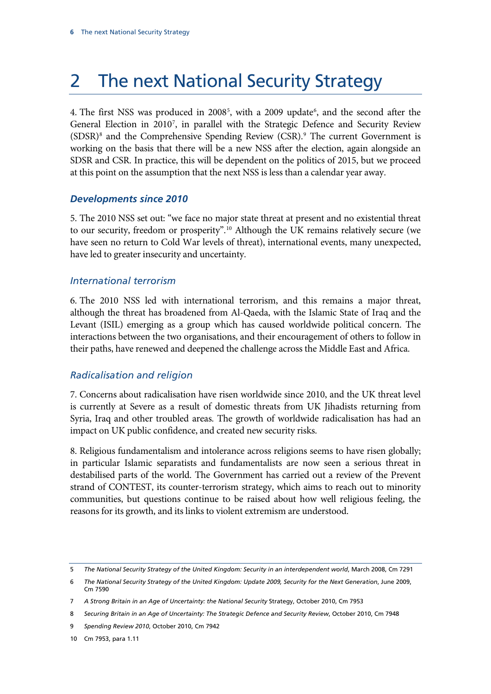# 2 The next National Security Strategy

4. The first NSS was produced in 2008<sup>[5](#page-6-0)</sup>, with a 2009 update<sup>[6](#page-6-1)</sup>, and the second after the General Election in 2010[7](#page-6-2) , in parallel with the Strategic Defence and Security Review (SDSR)[8](#page-6-3) and the Comprehensive Spending Review (CSR). [9](#page-6-4) The current Government is working on the basis that there will be a new NSS after the election, again alongside an SDSR and CSR. In practice, this will be dependent on the politics of 2015, but we proceed at this point on the assumption that the next NSS is less than a calendar year away.

### *Developments since 2010*

5. The 2010 NSS set out: "we face no major state threat at present and no existential threat to our security, freedom or prosperity".<sup>[10](#page-6-5)</sup> Although the UK remains relatively secure (we have seen no return to Cold War levels of threat), international events, many unexpected, have led to greater insecurity and uncertainty.

### *International terrorism*

6. The 2010 NSS led with international terrorism, and this remains a major threat, although the threat has broadened from Al-Qaeda, with the Islamic State of Iraq and the Levant (ISIL) emerging as a group which has caused worldwide political concern. The interactions between the two organisations, and their encouragement of others to follow in their paths, have renewed and deepened the challenge across the Middle East and Africa.

### *Radicalisation and religion*

7. Concerns about radicalisation have risen worldwide since 2010, and the UK threat level is currently at Severe as a result of domestic threats from UK Jihadists returning from Syria, Iraq and other troubled areas. The growth of worldwide radicalisation has had an impact on UK public confidence, and created new security risks.

8. Religious fundamentalism and intolerance across religions seems to have risen globally; in particular Islamic separatists and fundamentalists are now seen a serious threat in destabilised parts of the world. The Government has carried out a review of the Prevent strand of CONTEST, its counter-terrorism strategy, which aims to reach out to minority communities, but questions continue to be raised about how well religious feeling, the reasons for its growth, and its links to violent extremism are understood.

<span id="page-6-0"></span><sup>5</sup> *The National Security Strategy of the United Kingdom: Security in an interdependent world*, March 2008, Cm 7291

<span id="page-6-1"></span><sup>6</sup> *The National Security Strategy of the United Kingdom: Update 2009, Security for the Next Generation*, June 2009, Cm 7590

<span id="page-6-2"></span><sup>7</sup> *A Strong Britain in an Age of Uncertainty: the National Security* Strategy, October 2010, Cm 7953

<span id="page-6-3"></span><sup>8</sup> *Securing Britain in an Age of Uncertainty: The Strategic Defence and Security Review*, October 2010, Cm 7948

<span id="page-6-4"></span><sup>9</sup> *Spending Review 2010*, October 2010, Cm 7942

<span id="page-6-5"></span><sup>10</sup> Cm 7953, para 1.11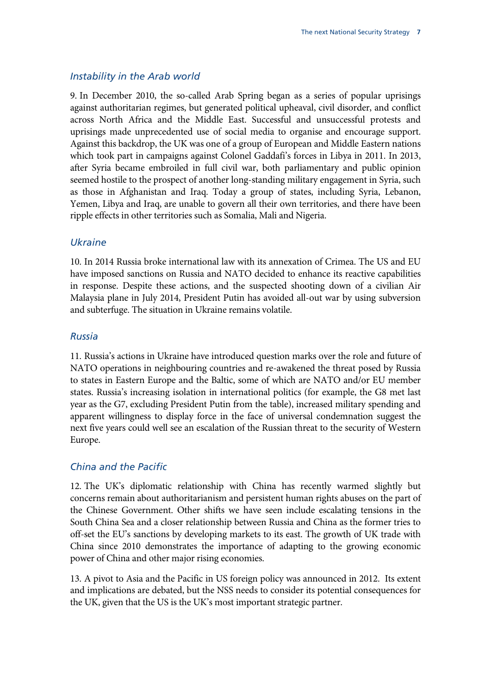#### *Instability in the Arab world*

9. In December 2010, the so-called Arab Spring began as a series of popular uprisings against authoritarian regimes, but generated political upheaval, civil disorder, and conflict across North Africa and the Middle East. Successful and unsuccessful protests and uprisings made unprecedented use of social media to organise and encourage support. Against this backdrop, the UK was one of a group of European and Middle Eastern nations which took part in campaigns against Colonel Gaddafi's forces in Libya in 2011. In 2013, after Syria became embroiled in full civil war, both parliamentary and public opinion seemed hostile to the prospect of another long-standing military engagement in Syria, such as those in Afghanistan and Iraq. Today a group of states, including Syria, Lebanon, Yemen, Libya and Iraq, are unable to govern all their own territories, and there have been ripple effects in other territories such as Somalia, Mali and Nigeria.

#### *Ukraine*

10. In 2014 Russia broke international law with its annexation of Crimea. The US and EU have imposed sanctions on Russia and NATO decided to enhance its reactive capabilities in response. Despite these actions, and the suspected shooting down of a civilian Air Malaysia plane in July 2014, President Putin has avoided all-out war by using subversion and subterfuge. The situation in Ukraine remains volatile.

#### *Russia*

11. Russia's actions in Ukraine have introduced question marks over the role and future of NATO operations in neighbouring countries and re-awakened the threat posed by Russia to states in Eastern Europe and the Baltic, some of which are NATO and/or EU member states. Russia's increasing isolation in international politics (for example, the G8 met last year as the G7, excluding President Putin from the table), increased military spending and apparent willingness to display force in the face of universal condemnation suggest the next five years could well see an escalation of the Russian threat to the security of Western Europe.

#### *China and the Pacific*

12. The UK's diplomatic relationship with China has recently warmed slightly but concerns remain about authoritarianism and persistent human rights abuses on the part of the Chinese Government. Other shifts we have seen include escalating tensions in the South China Sea and a closer relationship between Russia and China as the former tries to off-set the EU's sanctions by developing markets to its east. The growth of UK trade with China since 2010 demonstrates the importance of adapting to the growing economic power of China and other major rising economies.

13. A pivot to Asia and the Pacific in US foreign policy was announced in 2012. Its extent and implications are debated, but the NSS needs to consider its potential consequences for the UK, given that the US is the UK's most important strategic partner.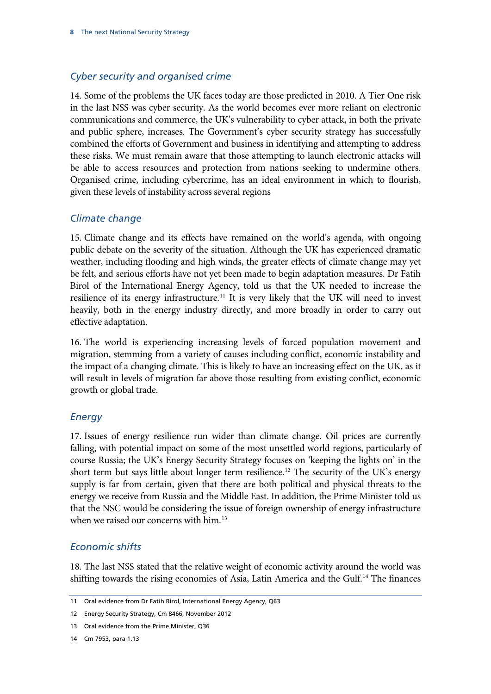### *Cyber security and organised crime*

14. Some of the problems the UK faces today are those predicted in 2010. A Tier One risk in the last NSS was cyber security. As the world becomes ever more reliant on electronic communications and commerce, the UK's vulnerability to cyber attack, in both the private and public sphere, increases. The Government's cyber security strategy has successfully combined the efforts of Government and business in identifying and attempting to address these risks. We must remain aware that those attempting to launch electronic attacks will be able to access resources and protection from nations seeking to undermine others. Organised crime, including cybercrime, has an ideal environment in which to flourish, given these levels of instability across several regions

### *Climate change*

15. Climate change and its effects have remained on the world's agenda, with ongoing public debate on the severity of the situation. Although the UK has experienced dramatic weather, including flooding and high winds, the greater effects of climate change may yet be felt, and serious efforts have not yet been made to begin adaptation measures. Dr Fatih Birol of the International Energy Agency, told us that the UK needed to increase the resilience of its energy infrastructure.<sup>[11](#page-8-0)</sup> It is very likely that the UK will need to invest heavily, both in the energy industry directly, and more broadly in order to carry out effective adaptation.

16. The world is experiencing increasing levels of forced population movement and migration, stemming from a variety of causes including conflict, economic instability and the impact of a changing climate. This is likely to have an increasing effect on the UK, as it will result in levels of migration far above those resulting from existing conflict, economic growth or global trade.

### *Energy*

17. Issues of energy resilience run wider than climate change. Oil prices are currently falling, with potential impact on some of the most unsettled world regions, particularly of course Russia; the UK's Energy Security Strategy focuses on 'keeping the lights on' in the short term but says little about longer term resilience.<sup>12</sup> The security of the UK's energy supply is far from certain, given that there are both political and physical threats to the energy we receive from Russia and the Middle East. In addition, the Prime Minister told us that the NSC would be considering the issue of foreign ownership of energy infrastructure when we raised our concerns with him.<sup>[13](#page-8-2)</sup>

### *Economic shifts*

18. The last NSS stated that the relative weight of economic activity around the world was shifting towards the rising economies of Asia, Latin America and the Gulf.<sup>[14](#page-8-3)</sup> The finances

<span id="page-8-0"></span><sup>11</sup> Oral evidence from Dr Fatih Birol, International Energy Agency, Q63

<span id="page-8-1"></span><sup>12</sup> Energy Security Strategy, Cm 8466, November 2012

<span id="page-8-2"></span><sup>13</sup> Oral evidence from the Prime Minister, Q36

<span id="page-8-3"></span><sup>14</sup> Cm 7953, para 1.13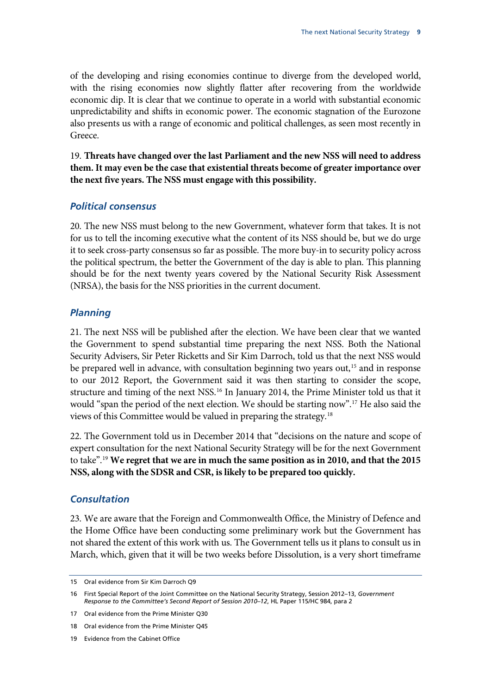of the developing and rising economies continue to diverge from the developed world, with the rising economies now slightly flatter after recovering from the worldwide economic dip. It is clear that we continue to operate in a world with substantial economic unpredictability and shifts in economic power. The economic stagnation of the Eurozone also presents us with a range of economic and political challenges, as seen most recently in Greece.

<span id="page-9-5"></span>19. **Threats have changed over the last Parliament and the new NSS will need to address them. It may even be the case that existential threats become of greater importance over the next five years. The NSS must engage with this possibility.** 

### *Political consensus*

20. The new NSS must belong to the new Government, whatever form that takes. It is not for us to tell the incoming executive what the content of its NSS should be, but we do urge it to seek cross-party consensus so far as possible. The more buy-in to security policy across the political spectrum, the better the Government of the day is able to plan. This planning should be for the next twenty years covered by the National Security Risk Assessment (NRSA), the basis for the NSS priorities in the current document.

### *Planning*

21. The next NSS will be published after the election. We have been clear that we wanted the Government to spend substantial time preparing the next NSS. Both the National Security Advisers, Sir Peter Ricketts and Sir Kim Darroch, told us that the next NSS would be prepared well in advance, with consultation beginning two years out,<sup>[15](#page-9-0)</sup> and in response to our 2012 Report, the Government said it was then starting to consider the scope, structure and timing of the next NSS.<sup>[16](#page-9-1)</sup> In January 2014, the Prime Minister told us that it would "span the period of the next election. We should be starting now".[17](#page-9-2) He also said the views of this Committee would be valued in preparing the strategy.<sup>[18](#page-9-3)</sup>

<span id="page-9-6"></span>22. The Government told us in December 2014 that "decisions on the nature and scope of expert consultation for the next National Security Strategy will be for the next Government to take".[19](#page-9-4) **We regret that we are in much the same position as in 2010, and that the 2015 NSS, along with the SDSR and CSR, is likely to be prepared too quickly.** 

### *Consultation*

23. We are aware that the Foreign and Commonwealth Office, the Ministry of Defence and the Home Office have been conducting some preliminary work but the Government has not shared the extent of this work with us. The Government tells us it plans to consult us in March, which, given that it will be two weeks before Dissolution, is a very short timeframe

<span id="page-9-0"></span><sup>15</sup> Oral evidence from Sir Kim Darroch Q9

<span id="page-9-1"></span><sup>16</sup> First Special Report of the Joint Committee on the National Security Strategy, Session 2012–13, *Government Response to the Committee's Second Report of Session 2010–12*, HL Paper 115/HC 984, para 2

<span id="page-9-2"></span><sup>17</sup> Oral evidence from the Prime Minister Q30

<span id="page-9-3"></span><sup>18</sup> Oral evidence from the Prime Minister Q45

<span id="page-9-4"></span><sup>19</sup> Evidence from the Cabinet Office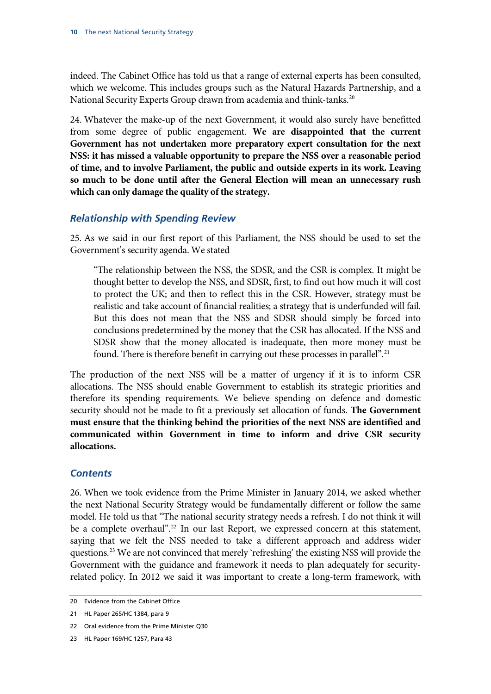indeed. The Cabinet Office has told us that a range of external experts has been consulted, which we welcome. This includes groups such as the Natural Hazards Partnership, and a National Security Experts Group drawn from academia and think-tanks.<sup>20</sup>

24. Whatever the make-up of the next Government, it would also surely have benefitted from some degree of public engagement. **We are disappointed that the current Government has not undertaken more preparatory expert consultation for the next NSS: it has missed a valuable opportunity to prepare the NSS over a reasonable period of time, and to involve Parliament, the public and outside experts in its work. Leaving so much to be done until after the General Election will mean an unnecessary rush which can only damage the quality of the strategy.** 

#### *Relationship with Spending Review*

25. As we said in our first report of this Parliament, the NSS should be used to set the Government's security agenda. We stated

"The relationship between the NSS, the SDSR, and the CSR is complex. It might be thought better to develop the NSS, and SDSR, first, to find out how much it will cost to protect the UK; and then to reflect this in the CSR. However, strategy must be realistic and take account of financial realities; a strategy that is underfunded will fail. But this does not mean that the NSS and SDSR should simply be forced into conclusions predetermined by the money that the CSR has allocated. If the NSS and SDSR show that the money allocated is inadequate, then more money must be found. There is therefore benefit in carrying out these processes in parallel".<sup>[21](#page-10-1)</sup>

The production of the next NSS will be a matter of urgency if it is to inform CSR allocations. The NSS should enable Government to establish its strategic priorities and therefore its spending requirements. We believe spending on defence and domestic security should not be made to fit a previously set allocation of funds. **The Government must ensure that the thinking behind the priorities of the next NSS are identified and communicated within Government in time to inform and drive CSR security allocations.**

#### *Contents*

26. When we took evidence from the Prime Minister in January 2014, we asked whether the next National Security Strategy would be fundamentally different or follow the same model. He told us that "The national security strategy needs a refresh. I do not think it will be a complete overhaul".<sup>22</sup> In our last Report, we expressed concern at this statement, saying that we felt the NSS needed to take a different approach and address wider questions.<sup>[23](#page-10-3)</sup> We are not convinced that merely 'refreshing' the existing NSS will provide the Government with the guidance and framework it needs to plan adequately for securityrelated policy. In 2012 we said it was important to create a long-term framework, with

<span id="page-10-0"></span><sup>20</sup> Evidence from the Cabinet Office

<span id="page-10-1"></span><sup>21</sup> HL Paper 265/HC 1384, para 9

<span id="page-10-2"></span><sup>22</sup> Oral evidence from the Prime Minister Q30

<span id="page-10-3"></span><sup>23</sup> HL Paper 169/HC 1257, Para 43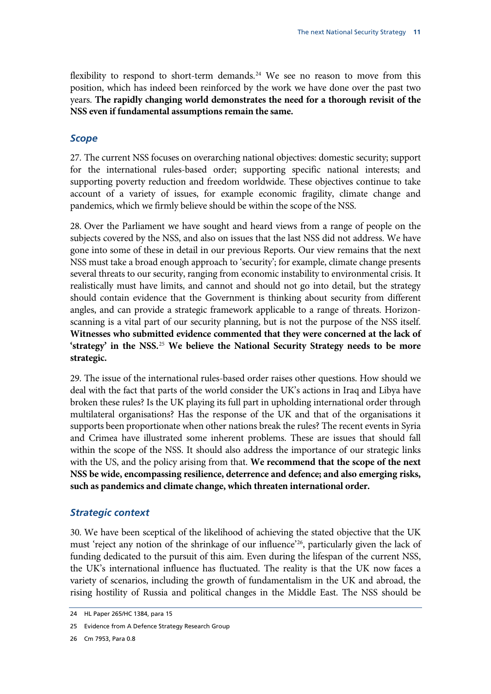flexibility to respond to short-term demands.<sup>[24](#page-11-0)</sup> We see no reason to move from this position, which has indeed been reinforced by the work we have done over the past two years. **The rapidly changing world demonstrates the need for a thorough revisit of the NSS even if fundamental assumptions remain the same.**

#### *Scope*

27. The current NSS focuses on overarching national objectives: domestic security; support for the international rules-based order; supporting specific national interests; and supporting poverty reduction and freedom worldwide. These objectives continue to take account of a variety of issues, for example economic fragility, climate change and pandemics, which we firmly believe should be within the scope of the NSS.

28. Over the Parliament we have sought and heard views from a range of people on the subjects covered by the NSS, and also on issues that the last NSS did not address. We have gone into some of these in detail in our previous Reports. Our view remains that the next NSS must take a broad enough approach to 'security'; for example, climate change presents several threats to our security, ranging from economic instability to environmental crisis. It realistically must have limits, and cannot and should not go into detail, but the strategy should contain evidence that the Government is thinking about security from different angles, and can provide a strategic framework applicable to a range of threats. Horizonscanning is a vital part of our security planning, but is not the purpose of the NSS itself. **Witnesses who submitted evidence commented that they were concerned at the lack of 'strategy' in the NSS.**[25](#page-11-1) **We believe the National Security Strategy needs to be more strategic.**

29. The issue of the international rules-based order raises other questions. How should we deal with the fact that parts of the world consider the UK's actions in Iraq and Libya have broken these rules? Is the UK playing its full part in upholding international order through multilateral organisations? Has the response of the UK and that of the organisations it supports been proportionate when other nations break the rules? The recent events in Syria and Crimea have illustrated some inherent problems. These are issues that should fall within the scope of the NSS. It should also address the importance of our strategic links with the US, and the policy arising from that. **We recommend that the scope of the next NSS be wide, encompassing resilience, deterrence and defence; and also emerging risks, such as pandemics and climate change, which threaten international order.**

#### *Strategic context*

30. We have been sceptical of the likelihood of achieving the stated objective that the UK must 'reject any notion of the shrinkage of our influence['26](#page-11-2), particularly given the lack of funding dedicated to the pursuit of this aim. Even during the lifespan of the current NSS, the UK's international influence has fluctuated. The reality is that the UK now faces a variety of scenarios, including the growth of fundamentalism in the UK and abroad, the rising hostility of Russia and political changes in the Middle East. The NSS should be

<span id="page-11-0"></span><sup>24</sup> HL Paper 265/HC 1384, para 15

<span id="page-11-1"></span><sup>25</sup> Evidence from A Defence Strategy Research Group

<span id="page-11-2"></span><sup>26</sup> Cm 7953, Para 0.8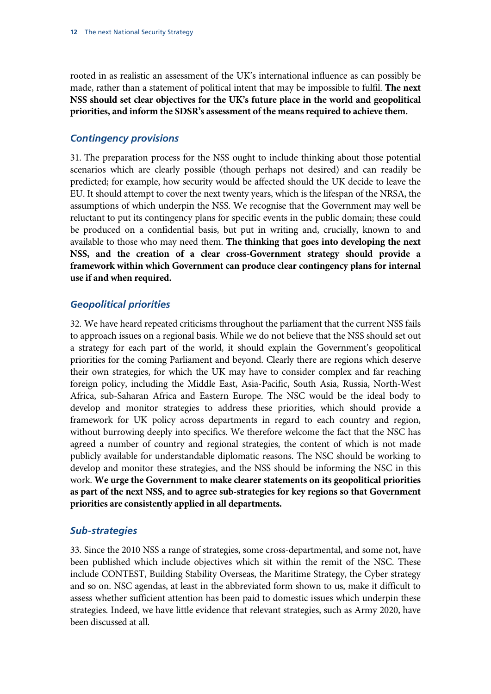rooted in as realistic an assessment of the UK's international influence as can possibly be made, rather than a statement of political intent that may be impossible to fulfil. **The next NSS should set clear objectives for the UK's future place in the world and geopolitical priorities, and inform the SDSR's assessment of the means required to achieve them.**

#### *Contingency provisions*

31. The preparation process for the NSS ought to include thinking about those potential scenarios which are clearly possible (though perhaps not desired) and can readily be predicted; for example, how security would be affected should the UK decide to leave the EU. It should attempt to cover the next twenty years, which is the lifespan of the NRSA, the assumptions of which underpin the NSS. We recognise that the Government may well be reluctant to put its contingency plans for specific events in the public domain; these could be produced on a confidential basis, but put in writing and, crucially, known to and available to those who may need them. **The thinking that goes into developing the next NSS, and the creation of a clear cross-Government strategy should provide a framework within which Government can produce clear contingency plans for internal use if and when required.**

#### *Geopolitical priorities*

32. We have heard repeated criticisms throughout the parliament that the current NSS fails to approach issues on a regional basis. While we do not believe that the NSS should set out a strategy for each part of the world, it should explain the Government's geopolitical priorities for the coming Parliament and beyond. Clearly there are regions which deserve their own strategies, for which the UK may have to consider complex and far reaching foreign policy, including the Middle East, Asia-Pacific, South Asia, Russia, North-West Africa, sub-Saharan Africa and Eastern Europe. The NSC would be the ideal body to develop and monitor strategies to address these priorities, which should provide a framework for UK policy across departments in regard to each country and region, without burrowing deeply into specifics. We therefore welcome the fact that the NSC has agreed a number of country and regional strategies, the content of which is not made publicly available for understandable diplomatic reasons. The NSC should be working to develop and monitor these strategies, and the NSS should be informing the NSC in this work. **We urge the Government to make clearer statements on its geopolitical priorities as part of the next NSS, and to agree sub-strategies for key regions so that Government priorities are consistently applied in all departments.**

#### *Sub-strategies*

33. Since the 2010 NSS a range of strategies, some cross-departmental, and some not, have been published which include objectives which sit within the remit of the NSC. These include CONTEST, Building Stability Overseas, the Maritime Strategy, the Cyber strategy and so on. NSC agendas, at least in the abbreviated form shown to us, make it difficult to assess whether sufficient attention has been paid to domestic issues which underpin these strategies. Indeed, we have little evidence that relevant strategies, such as Army 2020, have been discussed at all.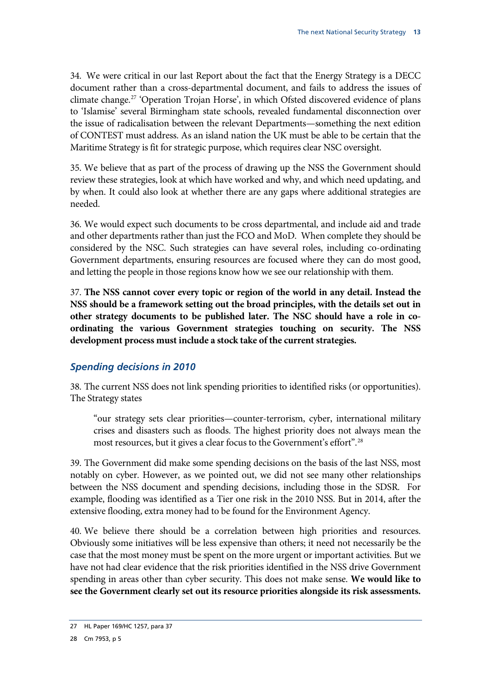34. We were critical in our last Report about the fact that the Energy Strategy is a DECC document rather than a cross-departmental document, and fails to address the issues of climate change.[27](#page-13-0) 'Operation Trojan Horse', in which Ofsted discovered evidence of plans to 'Islamise' several Birmingham state schools, revealed fundamental disconnection over the issue of radicalisation between the relevant Departments—something the next edition of CONTEST must address. As an island nation the UK must be able to be certain that the Maritime Strategy is fit for strategic purpose, which requires clear NSC oversight.

35. We believe that as part of the process of drawing up the NSS the Government should review these strategies, look at which have worked and why, and which need updating, and by when. It could also look at whether there are any gaps where additional strategies are needed.

36. We would expect such documents to be cross departmental, and include aid and trade and other departments rather than just the FCO and MoD. When complete they should be considered by the NSC. Such strategies can have several roles, including co-ordinating Government departments, ensuring resources are focused where they can do most good, and letting the people in those regions know how we see our relationship with them.

37. **The NSS cannot cover every topic or region of the world in any detail. Instead the NSS should be a framework setting out the broad principles, with the details set out in other strategy documents to be published later. The NSC should have a role in coordinating the various Government strategies touching on security. The NSS development process must include a stock take of the current strategies.** 

### *Spending decisions in 2010*

38. The current NSS does not link spending priorities to identified risks (or opportunities). The Strategy states

"our strategy sets clear priorities—counter-terrorism, cyber, international military crises and disasters such as floods. The highest priority does not always mean the most resources, but it gives a clear focus to the Government's effort". [28](#page-13-1)

39. The Government did make some spending decisions on the basis of the last NSS, most notably on cyber. However, as we pointed out, we did not see many other relationships between the NSS document and spending decisions, including those in the SDSR. For example, flooding was identified as a Tier one risk in the 2010 NSS. But in 2014, after the extensive flooding, extra money had to be found for the Environment Agency.

40. We believe there should be a correlation between high priorities and resources. Obviously some initiatives will be less expensive than others; it need not necessarily be the case that the most money must be spent on the more urgent or important activities. But we have not had clear evidence that the risk priorities identified in the NSS drive Government spending in areas other than cyber security. This does not make sense. **We would like to see the Government clearly set out its resource priorities alongside its risk assessments.**

<span id="page-13-0"></span><sup>27</sup> HL Paper 169/HC 1257, para 37

<span id="page-13-1"></span><sup>28</sup> Cm 7953, p 5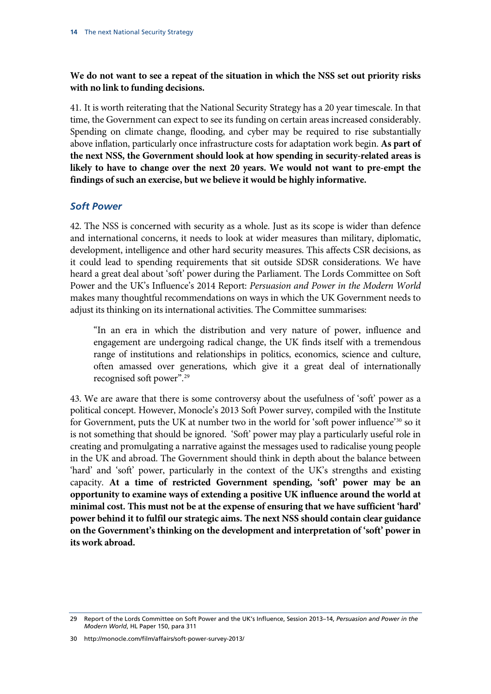### **We do not want to see a repeat of the situation in which the NSS set out priority risks with no link to funding decisions.**

41. It is worth reiterating that the National Security Strategy has a 20 year timescale. In that time, the Government can expect to see its funding on certain areas increased considerably. Spending on climate change, flooding, and cyber may be required to rise substantially above inflation, particularly once infrastructure costs for adaptation work begin. **As part of the next NSS, the Government should look at how spending in security-related areas is likely to have to change over the next 20 years. We would not want to pre-empt the findings of such an exercise, but we believe it would be highly informative.**

#### *Soft Power*

42. The NSS is concerned with security as a whole. Just as its scope is wider than defence and international concerns, it needs to look at wider measures than military, diplomatic, development, intelligence and other hard security measures. This affects CSR decisions, as it could lead to spending requirements that sit outside SDSR considerations. We have heard a great deal about 'soft' power during the Parliament. The Lords Committee on Soft Power and the UK's Influence's 2014 Report: *Persuasion and Power in the Modern World*  makes many thoughtful recommendations on ways in which the UK Government needs to adjust its thinking on its international activities. The Committee summarises:

"In an era in which the distribution and very nature of power, influence and engagement are undergoing radical change, the UK finds itself with a tremendous range of institutions and relationships in politics, economics, science and culture, often amassed over generations, which give it a great deal of internationally recognised soft power". [29](#page-14-0)

43. We are aware that there is some controversy about the usefulness of 'soft' power as a political concept. However, Monocle's 2013 Soft Power survey, compiled with the Institute for Government, puts the UK at number two in the world for 'soft power influence'<sup>[30](#page-14-1)</sup> so it is not something that should be ignored. 'Soft' power may play a particularly useful role in creating and promulgating a narrative against the messages used to radicalise young people in the UK and abroad. The Government should think in depth about the balance between 'hard' and 'soft' power, particularly in the context of the UK's strengths and existing capacity. **At a time of restricted Government spending, 'soft' power may be an opportunity to examine ways of extending a positive UK influence around the world at minimal cost. This must not be at the expense of ensuring that we have sufficient 'hard' power behind it to fulfil our strategic aims. The next NSS should contain clear guidance on the Government's thinking on the development and interpretation of 'soft' power in its work abroad.**

<span id="page-14-1"></span><span id="page-14-0"></span><sup>29</sup> Report of the Lords Committee on Soft Power and the UK's Influence, Session 2013–14, *Persuasion and Power in the Modern World*, HL Paper 150, para 311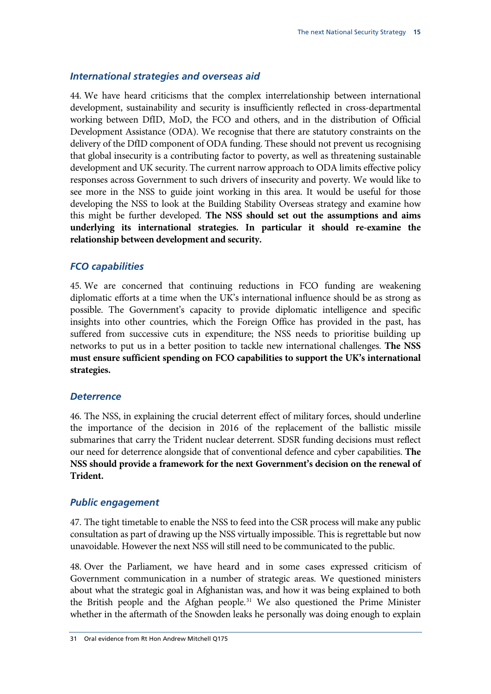#### *International strategies and overseas aid*

44. We have heard criticisms that the complex interrelationship between international development, sustainability and security is insufficiently reflected in cross-departmental working between DfID, MoD, the FCO and others, and in the distribution of Official Development Assistance (ODA). We recognise that there are statutory constraints on the delivery of the DfID component of ODA funding. These should not prevent us recognising that global insecurity is a contributing factor to poverty, as well as threatening sustainable development and UK security. The current narrow approach to ODA limits effective policy responses across Government to such drivers of insecurity and poverty. We would like to see more in the NSS to guide joint working in this area. It would be useful for those developing the NSS to look at the Building Stability Overseas strategy and examine how this might be further developed. **The NSS should set out the assumptions and aims underlying its international strategies. In particular it should re-examine the relationship between development and security.**

### *FCO capabilities*

45. We are concerned that continuing reductions in FCO funding are weakening diplomatic efforts at a time when the UK's international influence should be as strong as possible. The Government's capacity to provide diplomatic intelligence and specific insights into other countries, which the Foreign Office has provided in the past, has suffered from successive cuts in expenditure; the NSS needs to prioritise building up networks to put us in a better position to tackle new international challenges. **The NSS must ensure sufficient spending on FCO capabilities to support the UK's international strategies.**

#### *Deterrence*

46. The NSS, in explaining the crucial deterrent effect of military forces, should underline the importance of the decision in 2016 of the replacement of the ballistic missile submarines that carry the Trident nuclear deterrent. SDSR funding decisions must reflect our need for deterrence alongside that of conventional defence and cyber capabilities. **The NSS should provide a framework for the next Government's decision on the renewal of Trident.**

#### *Public engagement*

47. The tight timetable to enable the NSS to feed into the CSR process will make any public consultation as part of drawing up the NSS virtually impossible. This is regrettable but now unavoidable. However the next NSS will still need to be communicated to the public.

<span id="page-15-0"></span>48. Over the Parliament, we have heard and in some cases expressed criticism of Government communication in a number of strategic areas. We questioned ministers about what the strategic goal in Afghanistan was, and how it was being explained to both the British people and the Afghan people.<sup>[31](#page-15-0)</sup> We also questioned the Prime Minister whether in the aftermath of the Snowden leaks he personally was doing enough to explain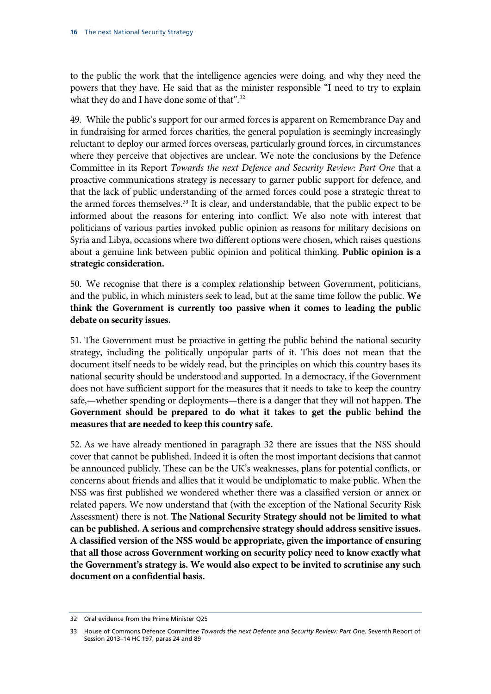to the public the work that the intelligence agencies were doing, and why they need the powers that they have. He said that as the minister responsible "I need to try to explain what they do and I have done some of that".<sup>[32](#page-16-0)</sup>

49. While the public's support for our armed forces is apparent on Remembrance Day and in fundraising for armed forces charities, the general population is seemingly increasingly reluctant to deploy our armed forces overseas, particularly ground forces, in circumstances where they perceive that objectives are unclear. We note the conclusions by the Defence Committee in its Report *Towards the next Defence and Security Review: Part One* that a proactive communications strategy is necessary to garner public support for defence, and that the lack of public understanding of the armed forces could pose a strategic threat to the armed forces themselves.<sup>[33](#page-16-1)</sup> It is clear, and understandable, that the public expect to be informed about the reasons for entering into conflict. We also note with interest that politicians of various parties invoked public opinion as reasons for military decisions on Syria and Libya, occasions where two different options were chosen, which raises questions about a genuine link between public opinion and political thinking. **Public opinion is a strategic consideration.** 

50. We recognise that there is a complex relationship between Government, politicians, and the public, in which ministers seek to lead, but at the same time follow the public. **We think the Government is currently too passive when it comes to leading the public debate on security issues.** 

51. The Government must be proactive in getting the public behind the national security strategy, including the politically unpopular parts of it. This does not mean that the document itself needs to be widely read, but the principles on which this country bases its national security should be understood and supported. In a democracy, if the Government does not have sufficient support for the measures that it needs to take to keep the country safe,—whether spending or deployments—there is a danger that they will not happen. **The Government should be prepared to do what it takes to get the public behind the measures that are needed to keep this country safe.**

52. As we have already mentioned in paragraph 32 there are issues that the NSS should cover that cannot be published. Indeed it is often the most important decisions that cannot be announced publicly. These can be the UK's weaknesses, plans for potential conflicts, or concerns about friends and allies that it would be undiplomatic to make public. When the NSS was first published we wondered whether there was a classified version or annex or related papers. We now understand that (with the exception of the National Security Risk Assessment) there is not. **The National Security Strategy should not be limited to what can be published. A serious and comprehensive strategy should address sensitive issues. A classified version of the NSS would be appropriate, given the importance of ensuring that all those across Government working on security policy need to know exactly what the Government's strategy is. We would also expect to be invited to scrutinise any such document on a confidential basis.**

<span id="page-16-0"></span><sup>32</sup> Oral evidence from the Prime Minister Q25

<span id="page-16-1"></span><sup>33</sup> House of Commons Defence Committee *Towards the next Defence and Security Review: Part One,* Seventh Report of Session 2013–14 HC 197, paras 24 and 89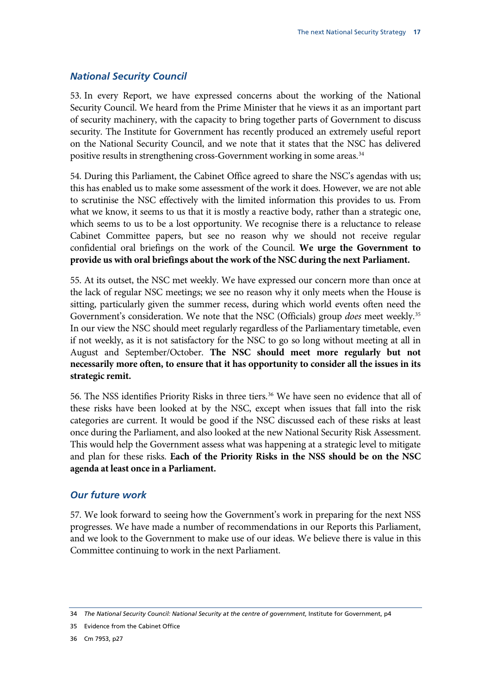#### *National Security Council*

53. In every Report, we have expressed concerns about the working of the National Security Council. We heard from the Prime Minister that he views it as an important part of security machinery, with the capacity to bring together parts of Government to discuss security. The Institute for Government has recently produced an extremely useful report on the National Security Council, and we note that it states that the NSC has delivered positive results in strengthening cross-Government working in some areas.<sup>[34](#page-17-0)</sup>

54. During this Parliament, the Cabinet Office agreed to share the NSC's agendas with us; this has enabled us to make some assessment of the work it does. However, we are not able to scrutinise the NSC effectively with the limited information this provides to us. From what we know, it seems to us that it is mostly a reactive body, rather than a strategic one, which seems to us to be a lost opportunity. We recognise there is a reluctance to release Cabinet Committee papers, but see no reason why we should not receive regular confidential oral briefings on the work of the Council. **We urge the Government to provide us with oral briefings about the work of the NSC during the next Parliament.**

55. At its outset, the NSC met weekly. We have expressed our concern more than once at the lack of regular NSC meetings; we see no reason why it only meets when the House is sitting, particularly given the summer recess, during which world events often need the Government's consideration. We note that the NSC (Officials) group *does* meet weekly.[35](#page-17-1) In our view the NSC should meet regularly regardless of the Parliamentary timetable, even if not weekly, as it is not satisfactory for the NSC to go so long without meeting at all in August and September/October. **The NSC should meet more regularly but not necessarily more often, to ensure that it has opportunity to consider all the issues in its strategic remit.** 

56. The NSS identifies Priority Risks in three tiers.<sup>[36](#page-17-2)</sup> We have seen no evidence that all of these risks have been looked at by the NSC, except when issues that fall into the risk categories are current. It would be good if the NSC discussed each of these risks at least once during the Parliament, and also looked at the new National Security Risk Assessment. This would help the Government assess what was happening at a strategic level to mitigate and plan for these risks. **Each of the Priority Risks in the NSS should be on the NSC agenda at least once in a Parliament.**

#### *Our future work*

57. We look forward to seeing how the Government's work in preparing for the next NSS progresses. We have made a number of recommendations in our Reports this Parliament, and we look to the Government to make use of our ideas. We believe there is value in this Committee continuing to work in the next Parliament.

<span id="page-17-0"></span><sup>34</sup> *The National Security Council: National Security at the centre of government*, Institute for Government, p4

<span id="page-17-2"></span><span id="page-17-1"></span><sup>35</sup> Evidence from the Cabinet Office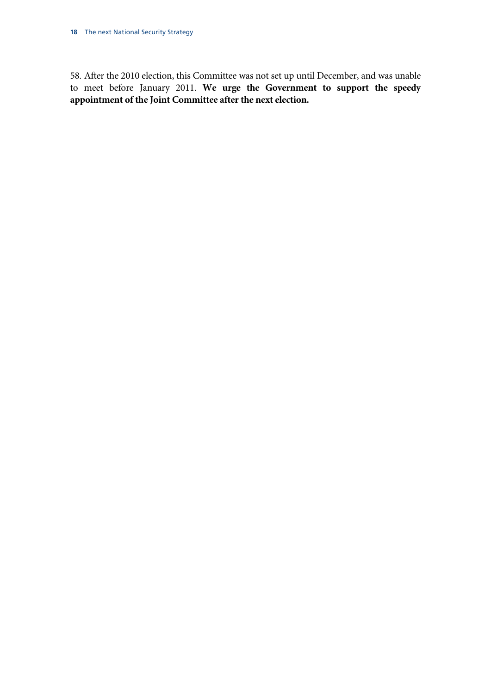58. After the 2010 election, this Committee was not set up until December, and was unable to meet before January 2011. **We urge the Government to support the speedy appointment of the Joint Committee after the next election.**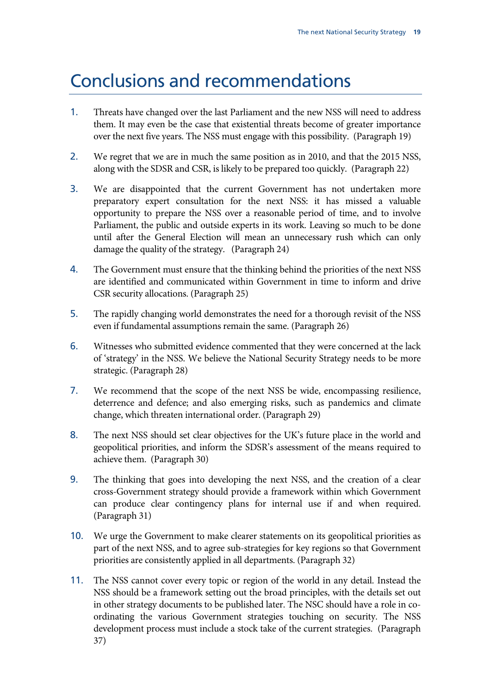# Conclusions and recommendations

- 1. Threats have changed over the last Parliament and the new NSS will need to address them. It may even be the case that existential threats become of greater importance over the next five years. The NSS must engage with this possibility. (Paragrap[h 19\)](#page-9-5)
- 2. We regret that we are in much the same position as in 2010, and that the 2015 NSS, along with the SDSR and CSR, is likely to be prepared too quickly. (Paragraph [22\)](#page-9-6)
- 3. We are disappointed that the current Government has not undertaken more preparatory expert consultation for the next NSS: it has missed a valuable opportunity to prepare the NSS over a reasonable period of time, and to involve Parliament, the public and outside experts in its work. Leaving so much to be done until after the General Election will mean an unnecessary rush which can only damage the quality of the strategy. (Paragraph 24)
- 4. The Government must ensure that the thinking behind the priorities of the next NSS are identified and communicated within Government in time to inform and drive CSR security allocations. (Paragraph 25)
- 5. The rapidly changing world demonstrates the need for a thorough revisit of the NSS even if fundamental assumptions remain the same. (Paragraph 26)
- 6. Witnesses who submitted evidence commented that they were concerned at the lack of 'strategy' in the NSS. We believe the National Security Strategy needs to be more strategic. (Paragraph 28)
- 7. We recommend that the scope of the next NSS be wide, encompassing resilience, deterrence and defence; and also emerging risks, such as pandemics and climate change, which threaten international order. (Paragraph 29)
- 8. The next NSS should set clear objectives for the UK's future place in the world and geopolitical priorities, and inform the SDSR's assessment of the means required to achieve them. (Paragraph 30)
- 9. The thinking that goes into developing the next NSS, and the creation of a clear cross-Government strategy should provide a framework within which Government can produce clear contingency plans for internal use if and when required. (Paragraph 31)
- 10. We urge the Government to make clearer statements on its geopolitical priorities as part of the next NSS, and to agree sub-strategies for key regions so that Government priorities are consistently applied in all departments. (Paragraph 32)
- 11. The NSS cannot cover every topic or region of the world in any detail. Instead the NSS should be a framework setting out the broad principles, with the details set out in other strategy documents to be published later. The NSC should have a role in coordinating the various Government strategies touching on security. The NSS development process must include a stock take of the current strategies. (Paragraph 37)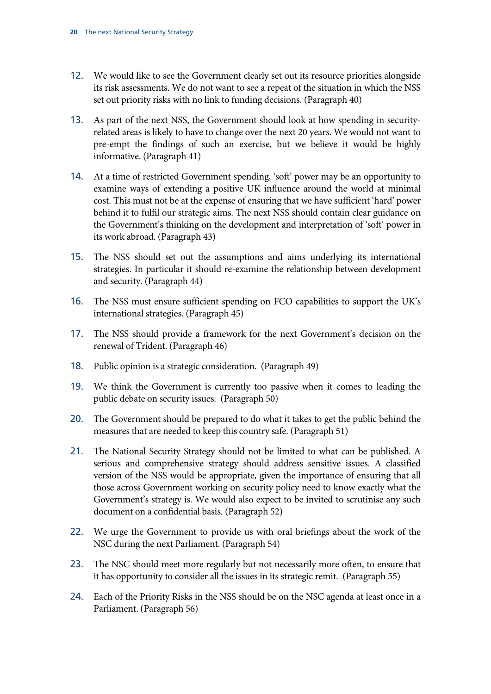- 12. We would like to see the Government clearly set out its resource priorities alongside its risk assessments. We do not want to see a repeat of the situation in which the NSS set out priority risks with no link to funding decisions. (Paragraph 40)
- 13. As part of the next NSS, the Government should look at how spending in securityrelated areas is likely to have to change over the next 20 years. We would not want to pre-empt the findings of such an exercise, but we believe it would be highly informative. (Paragraph 41)
- 14. At a time of restricted Government spending, 'soft' power may be an opportunity to examine ways of extending a positive UK influence around the world at minimal cost. This must not be at the expense of ensuring that we have sufficient 'hard' power behind it to fulfil our strategic aims. The next NSS should contain clear guidance on the Government's thinking on the development and interpretation of 'soft' power in its work abroad. (Paragraph 43)
- 15. The NSS should set out the assumptions and aims underlying its international strategies. In particular it should re-examine the relationship between development and security. (Paragraph 44)
- 16. The NSS must ensure sufficient spending on FCO capabilities to support the UK's international strategies. (Paragraph 45)
- 17. The NSS should provide a framework for the next Government's decision on the renewal of Trident. (Paragraph 46)
- 18. Public opinion is a strategic consideration. (Paragraph 49)
- 19. We think the Government is currently too passive when it comes to leading the public debate on security issues. (Paragraph 50)
- 20. The Government should be prepared to do what it takes to get the public behind the measures that are needed to keep this country safe. (Paragraph 51)
- 21. The National Security Strategy should not be limited to what can be published. A serious and comprehensive strategy should address sensitive issues. A classified version of the NSS would be appropriate, given the importance of ensuring that all those across Government working on security policy need to know exactly what the Government's strategy is. We would also expect to be invited to scrutinise any such document on a confidential basis. (Paragraph 52)
- 22. We urge the Government to provide us with oral briefings about the work of the NSC during the next Parliament. (Paragraph 54)
- 23. The NSC should meet more regularly but not necessarily more often, to ensure that it has opportunity to consider all the issues in its strategic remit. (Paragraph 55)
- 24. Each of the Priority Risks in the NSS should be on the NSC agenda at least once in a Parliament. (Paragraph 56)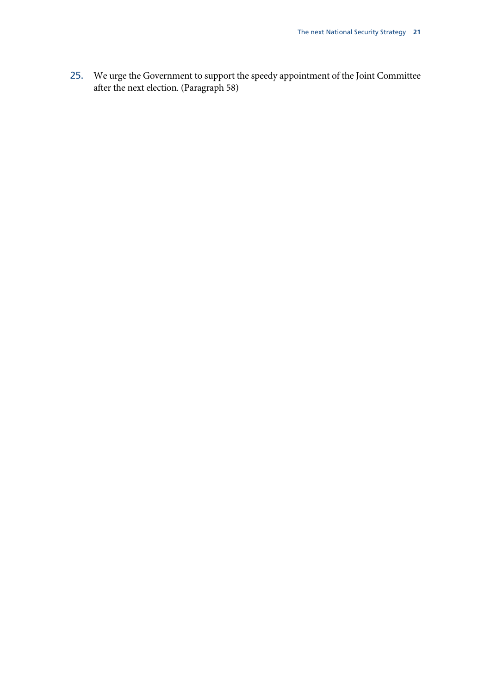25. We urge the Government to support the speedy appointment of the Joint Committee after the next election. (Paragraph 58)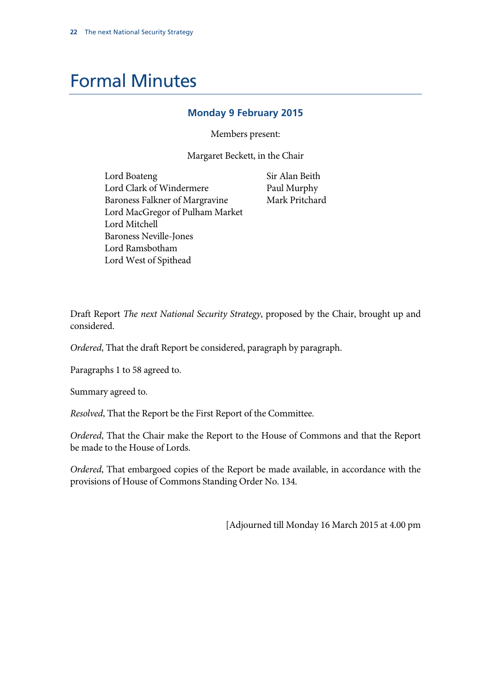# Formal Minutes

#### **Monday 9 February 2015**

Members present:

Margaret Beckett, in the Chair

Lord Boateng Lord Clark of Windermere Baroness Falkner of Margravine Lord MacGregor of Pulham Market Lord Mitchell Baroness Neville-Jones Lord Ramsbotham Lord West of Spithead

Sir Alan Beith Paul Murphy Mark Pritchard

Draft Report *The next National Security Strategy*, proposed by the Chair, brought up and considered.

*Ordered*, That the draft Report be considered, paragraph by paragraph.

Paragraphs 1 to 58 agreed to.

Summary agreed to.

*Resolved*, That the Report be the First Report of the Committee.

*Ordered*, That the Chair make the Report to the House of Commons and that the Report be made to the House of Lords.

*Ordered*, That embargoed copies of the Report be made available, in accordance with the provisions of House of Commons Standing Order No. 134.

[Adjourned till Monday 16 March 2015 at 4.00 pm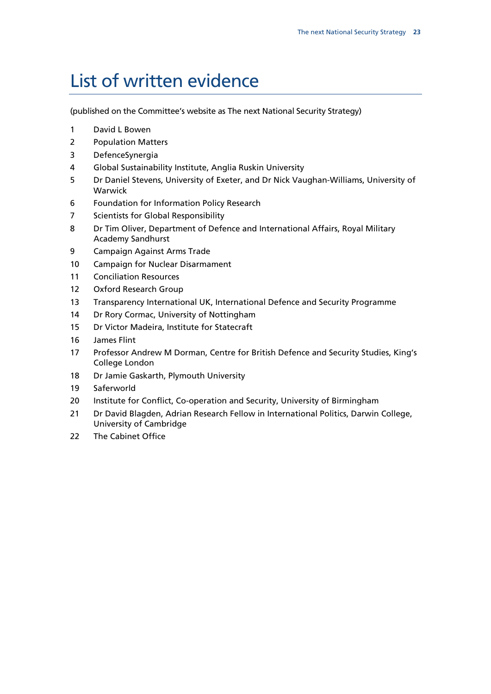# List of written evidence

(published on the Committee's website as The next National Security Strategy)

- David L Bowen
- Population Matters
- DefenceSynergia
- Global Sustainability Institute, Anglia Ruskin University
- Dr Daniel Stevens, University of Exeter, and Dr Nick Vaughan-Williams, University of Warwick
- Foundation for Information Policy Research
- Scientists for Global Responsibility
- Dr Tim Oliver, Department of Defence and International Affairs, Royal Military Academy Sandhurst
- Campaign Against Arms Trade
- Campaign for Nuclear Disarmament
- Conciliation Resources
- Oxford Research Group
- Transparency International UK, International Defence and Security Programme
- 14 Dr Rory Cormac, University of Nottingham
- Dr Victor Madeira, Institute for Statecraft
- James Flint
- Professor Andrew M Dorman, Centre for British Defence and Security Studies, King's College London
- Dr Jamie Gaskarth, Plymouth University
- Saferworld
- 20 Institute for Conflict, Co-operation and Security, University of Birmingham
- Dr David Blagden, Adrian Research Fellow in International Politics, Darwin College, University of Cambridge
- The Cabinet Office